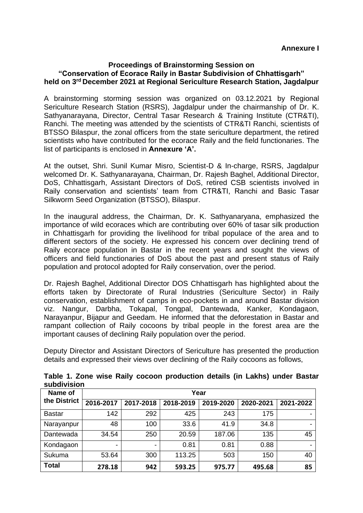#### **Proceedings of Brainstorming Session on "Conservation of Ecorace Raily in Bastar Subdivision of Chhattisgarh" held on 3rd December 2021 at Regional Sericulture Research Station, Jagdalpur**

A brainstorming storming session was organized on 03.12.2021 by Regional Sericulture Research Station (RSRS), Jagdalpur under the chairmanship of Dr. K. Sathyanarayana, Director, Central Tasar Research & Training Institute (CTR&TI), Ranchi. The meeting was attended by the scientists of CTR&TI Ranchi, scientists of BTSSO Bilaspur, the zonal officers from the state sericulture department, the retired scientists who have contributed for the ecorace Raily and the field functionaries. The list of participants is enclosed in **Annexure 'A'.**

At the outset, Shri. Sunil Kumar Misro, Scientist-D & In-charge, RSRS, Jagdalpur welcomed Dr. K. Sathyanarayana, Chairman, Dr. Rajesh Baghel, Additional Director, DoS, Chhattisgarh, Assistant Directors of DoS, retired CSB scientists involved in Raily conservation and scientists' team from CTR&TI, Ranchi and Basic Tasar Silkworm Seed Organization (BTSSO), Bilaspur.

In the inaugural address, the Chairman, Dr. K. Sathyanaryana, emphasized the importance of wild ecoraces which are contributing over 60% of tasar silk production in Chhattisgarh for providing the livelihood for tribal populace of the area and to different sectors of the society. He expressed his concern over declining trend of Raily ecorace population in Bastar in the recent years and sought the views of officers and field functionaries of DoS about the past and present status of Raily population and protocol adopted for Raily conservation, over the period.

Dr. Rajesh Baghel, Additional Director DOS Chhattisgarh has highlighted about the efforts taken by Directorate of Rural Industries (Sericulture Sector) in Raily conservation, establishment of camps in eco-pockets in and around Bastar division viz. Nangur, Darbha, Tokapal, Tongpal, Dantewada, Kanker, Kondagaon, Narayanpur, Bijapur and Geedam. He informed that the deforestation in Bastar and rampant collection of Raily cocoons by tribal people in the forest area are the important causes of declining Raily population over the period.

Deputy Director and Assistant Directors of Sericulture has presented the production details and expressed their views over declining of the Raily cocoons as follows,

| Name of<br>the District | Year      |           |           |           |           |           |
|-------------------------|-----------|-----------|-----------|-----------|-----------|-----------|
|                         | 2016-2017 | 2017-2018 | 2018-2019 | 2019-2020 | 2020-2021 | 2021-2022 |
| <b>Bastar</b>           | 142       | 292       | 425       | 243       | 175       |           |
| Narayanpur              | 48        | 100       | 33.6      | 41.9      | 34.8      |           |
| Dantewada               | 34.54     | 250       | 20.59     | 187.06    | 135       | 45        |
| Kondagaon               | ٠         |           | 0.81      | 0.81      | 0.88      |           |
| Sukuma                  | 53.64     | 300       | 113.25    | 503       | 150       | 40        |
| <b>Total</b>            | 278.18    | 942       | 593.25    | 975.77    | 495.68    | 85        |

**Table 1. Zone wise Raily cocoon production details (in Lakhs) under Bastar subdivision**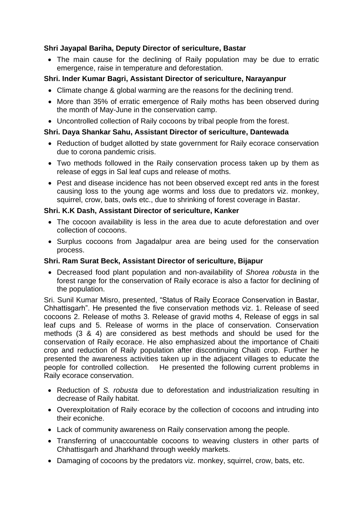# **Shri Jayapal Bariha, Deputy Director of sericulture, Bastar**

• The main cause for the declining of Raily population may be due to erratic emergence, raise in temperature and deforestation.

# **Shri. Inder Kumar Bagri, Assistant Director of sericulture, Narayanpur**

- Climate change & global warming are the reasons for the declining trend.
- More than 35% of erratic emergence of Raily moths has been observed during the month of May-June in the conservation camp.
- Uncontrolled collection of Raily cocoons by tribal people from the forest.

## **Shri. Daya Shankar Sahu, Assistant Director of sericulture, Dantewada**

- Reduction of budget allotted by state government for Raily ecorace conservation due to corona pandemic crisis.
- Two methods followed in the Raily conservation process taken up by them as release of eggs in Sal leaf cups and release of moths.
- Pest and disease incidence has not been observed except red ants in the forest causing loss to the young age worms and loss due to predators viz. monkey, squirrel, crow, bats, owls etc., due to shrinking of forest coverage in Bastar.

### **Shri. K.K Dash, Assistant Director of sericulture, Kanker**

- The cocoon availability is less in the area due to acute deforestation and over collection of cocoons.
- Surplus cocoons from Jagadalpur area are being used for the conservation process.

#### **Shri. Ram Surat Beck, Assistant Director of sericulture, Bijapur**

• Decreased food plant population and non-availability of *Shorea robusta* in the forest range for the conservation of Raily ecorace is also a factor for declining of the population.

Sri. Sunil Kumar Misro, presented, "Status of Raily Ecorace Conservation in Bastar, Chhattisgarh". He presented the five conservation methods viz. 1. Release of seed cocoons 2. Release of moths 3. Release of gravid moths 4, Release of eggs in sal leaf cups and 5. Release of worms in the place of conservation. Conservation methods (3 & 4) are considered as best methods and should be used for the conservation of Raily ecorace. He also emphasized about the importance of Chaiti crop and reduction of Raily population after discontinuing Chaiti crop. Further he presented the awareness activities taken up in the adjacent villages to educate the people for controlled collection. He presented the following current problems in Raily ecorace conservation.

- Reduction of *S. robusta* due to deforestation and industrialization resulting in decrease of Raily habitat.
- Overexploitation of Raily ecorace by the collection of cocoons and intruding into their econiche.
- Lack of community awareness on Raily conservation among the people.
- Transferring of unaccountable cocoons to weaving clusters in other parts of Chhattisgarh and Jharkhand through weekly markets.
- Damaging of cocoons by the predators viz. monkey, squirrel, crow, bats, etc.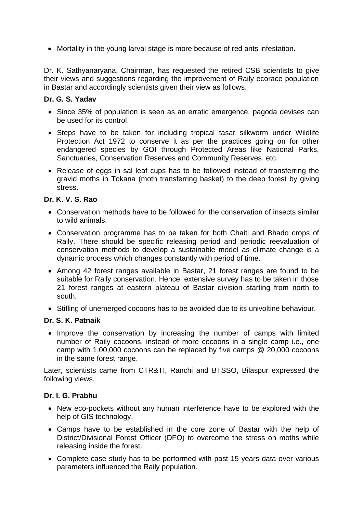• Mortality in the young larval stage is more because of red ants infestation.

Dr. K. Sathyanaryana, Chairman, has requested the retired CSB scientists to give their views and suggestions regarding the improvement of Raily ecorace population in Bastar and accordingly scientists given their view as follows.

### **Dr. G. S. Yadav**

- Since 35% of population is seen as an erratic emergence, pagoda devises can be used for its control.
- Steps have to be taken for including tropical tasar silkworm under Wildlife Protection Act 1972 to conserve it as per the practices going on for other endangered species by GOI through Protected Areas like National Parks, Sanctuaries, Conservation Reserves and Community Reserves. etc.
- Release of eggs in sal leaf cups has to be followed instead of transferring the gravid moths in Tokana (moth transferring basket) to the deep forest by giving stress.

### **Dr. K. V. S. Rao**

- Conservation methods have to be followed for the conservation of insects similar to wild animals.
- Conservation programme has to be taken for both Chaiti and Bhado crops of Raily. There should be specific releasing period and periodic reevaluation of conservation methods to develop a sustainable model as climate change is a dynamic process which changes constantly with period of time.
- Among 42 forest ranges available in Bastar, 21 forest ranges are found to be suitable for Raily conservation. Hence, extensive survey has to be taken in those 21 forest ranges at eastern plateau of Bastar division starting from north to south.
- Stifling of unemerged cocoons has to be avoided due to its univoltine behaviour.

#### **Dr. S. K. Patnaik**

• Improve the conservation by increasing the number of camps with limited number of Raily cocoons, instead of more cocoons in a single camp i.e., one camp with 1,00,000 cocoons can be replaced by five camps @ 20,000 cocoons in the same forest range.

Later, scientists came from CTR&TI, Ranchi and BTSSO, Bilaspur expressed the following views.

#### **Dr. I. G. Prabhu**

- New eco-pockets without any human interference have to be explored with the help of GIS technology.
- Camps have to be established in the core zone of Bastar with the help of District/Divisional Forest Officer (DFO) to overcome the stress on moths while releasing inside the forest.
- Complete case study has to be performed with past 15 years data over various parameters influenced the Raily population.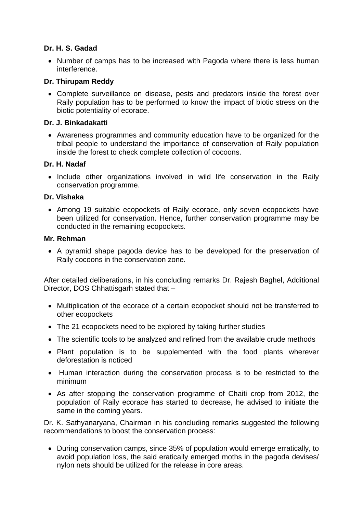### **Dr. H. S. Gadad**

• Number of camps has to be increased with Pagoda where there is less human interference.

### **Dr. Thirupam Reddy**

• Complete surveillance on disease, pests and predators inside the forest over Raily population has to be performed to know the impact of biotic stress on the biotic potentiality of ecorace.

#### **Dr. J. Binkadakatti**

• Awareness programmes and community education have to be organized for the tribal people to understand the importance of conservation of Raily population inside the forest to check complete collection of cocoons.

### **Dr. H. Nadaf**

• Include other organizations involved in wild life conservation in the Raily conservation programme.

### **Dr. Vishaka**

• Among 19 suitable ecopockets of Raily ecorace, only seven ecopockets have been utilized for conservation. Hence, further conservation programme may be conducted in the remaining ecopockets.

#### **Mr. Rehman**

• A pyramid shape pagoda device has to be developed for the preservation of Raily cocoons in the conservation zone.

After detailed deliberations, in his concluding remarks Dr. Rajesh Baghel, Additional Director, DOS Chhattisgarh stated that –

- Multiplication of the ecorace of a certain ecopocket should not be transferred to other ecopockets
- The 21 ecopockets need to be explored by taking further studies
- The scientific tools to be analyzed and refined from the available crude methods
- Plant population is to be supplemented with the food plants wherever deforestation is noticed
- Human interaction during the conservation process is to be restricted to the minimum
- As after stopping the conservation programme of Chaiti crop from 2012, the population of Raily ecorace has started to decrease, he advised to initiate the same in the coming years.

Dr. K. Sathyanaryana, Chairman in his concluding remarks suggested the following recommendations to boost the conservation process:

• During conservation camps, since 35% of population would emerge erratically, to avoid population loss, the said eratically emerged moths in the pagoda devises/ nylon nets should be utilized for the release in core areas.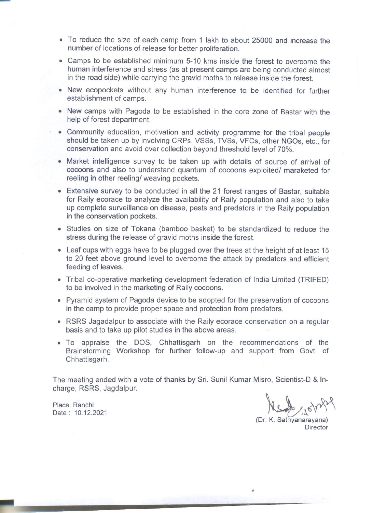- To reduce the size of each camp from 1 lakh to about 25000 and increase the number of locations of release for better proliferation.
- Camps to be established minimum 5-10 kms inside the forest to overcome the human interference and stress (as at present camps are being conducted almost in the road side) while carrying the gravid moths to release inside the forest.
- New ecopockets without any human interference to be identified for further establishment of camps.
- New camps with Pagoda to be established in the core zone of Bastar with the help of forest department.
- Community education, motivation and activity programme for the tribal people should be taken up by involving CRPs, VSSs, TVSs, VFCs, other NGOs, etc., for conservation and avoid over collection beyond threshold level of 70%.
- Market intelligence survey to be taken up with details of source of arrival of cocoons and also to understand quantum of cocoons exploited/ maraketed for reeling in other reeling/ weaving pockets.
- Extensive survey to be conducted in all the 21 forest ranges of Bastar, suitable for Raily ecorace to analyze the availability of Raily population and also to take up complete surveillance on disease, pests and predators in the Raily population in the conservation pockets.
- Studies on size of Tokana (bamboo basket) to be standardized to reduce the stress during the release of gravid moths inside the forest.
- Leaf cups with eggs have to be plugged over the trees at the height of at least 15 to 20 feet above ground level to overcome the attack by predators and efficient feeding of leaves.
- Tribal co-operative marketing development federation of India Limited (TRIFED) to be involved in the marketing of Raily cocoons.
- Pyramid system of Pagoda device to be adopted for the preservation of cocoons in the camp to provide proper space and protection from predators.
- RSRS Jagadalpur to associate with the Raily ecorace conservation on a regular basis and to take up pilot studies in the above areas.
- . To appraise the DOS, Chhattisgarh on the recommendations of the Brainstorming Workshop for further follow-up and support from Govt. of Chhattisgarh.

The meeting ended with a vote of thanks by Sri. Sunil Kumar Misro, Scientist-D & Incharge, RSRS, Jagdalpur.

Place: Ranchi Date: 10.12.2021

(Dr. K. Sathyanarayana) Director